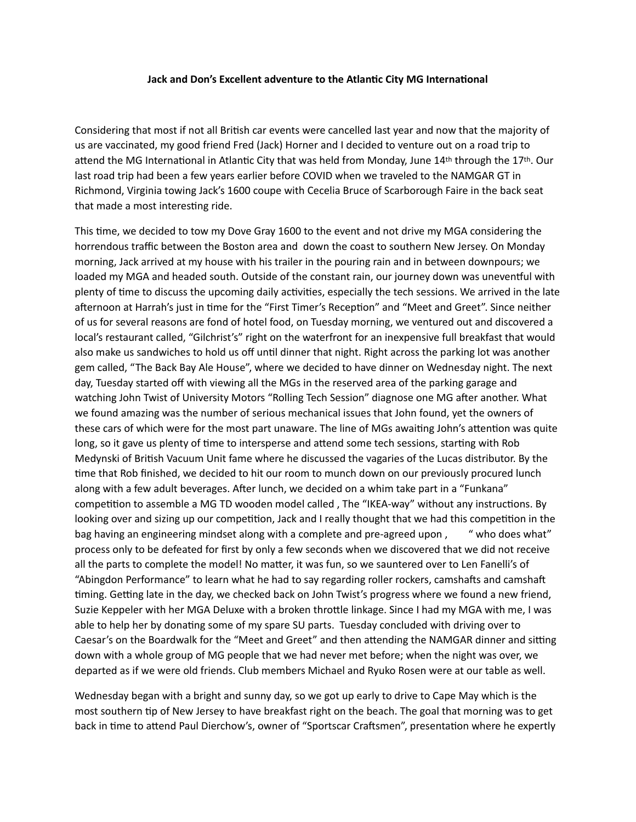## **Jack and Don's Excellent adventure to the Atlantic City MG International**

Considering that most if not all British car events were cancelled last year and now that the majority of us are vaccinated, my good friend Fred (Jack) Horner and I decided to venture out on a road trip to attend the MG International in Atlantic City that was held from Monday, June 14th through the 17th. Our last road trip had been a few years earlier before COVID when we traveled to the NAMGAR GT in Richmond, Virginia towing Jack's 1600 coupe with Cecelia Bruce of Scarborough Faire in the back seat that made a most interesting ride.

This time, we decided to tow my Dove Gray 1600 to the event and not drive my MGA considering the horrendous traffic between the Boston area and down the coast to southern New Jersey. On Monday morning, Jack arrived at my house with his trailer in the pouring rain and in between downpours; we loaded my MGA and headed south. Outside of the constant rain, our journey down was uneventful with plenty of time to discuss the upcoming daily activities, especially the tech sessions. We arrived in the late afternoon at Harrah's just in time for the "First Timer's Reception" and "Meet and Greet". Since neither of us for several reasons are fond of hotel food, on Tuesday morning, we ventured out and discovered a local's restaurant called, "Gilchrist's" right on the waterfront for an inexpensive full breakfast that would also make us sandwiches to hold us off until dinner that night. Right across the parking lot was another gem called, "The Back Bay Ale House", where we decided to have dinner on Wednesday night. The next day, Tuesday started off with viewing all the MGs in the reserved area of the parking garage and watching John Twist of University Motors "Rolling Tech Session" diagnose one MG after another. What we found amazing was the number of serious mechanical issues that John found, yet the owners of these cars of which were for the most part unaware. The line of MGs awaiting John's attention was quite long, so it gave us plenty of time to intersperse and attend some tech sessions, starting with Rob Medynski of British Vacuum Unit fame where he discussed the vagaries of the Lucas distributor. By the time that Rob finished, we decided to hit our room to munch down on our previously procured lunch along with a few adult beverages. After lunch, we decided on a whim take part in a "Funkana" competition to assemble a MG TD wooden model called , The "IKEA-way" without any instructions. By looking over and sizing up our competition, Jack and I really thought that we had this competition in the bag having an engineering mindset along with a complete and pre-agreed upon, "who does what" process only to be defeated for first by only a few seconds when we discovered that we did not receive all the parts to complete the model! No matter, it was fun, so we sauntered over to Len Fanelli's of "Abingdon Performance" to learn what he had to say regarding roller rockers, camshafts and camshaft timing. Getting late in the day, we checked back on John Twist's progress where we found a new friend, Suzie Keppeler with her MGA Deluxe with a broken throttle linkage. Since I had my MGA with me, I was able to help her by donating some of my spare SU parts. Tuesday concluded with driving over to Caesar's on the Boardwalk for the "Meet and Greet" and then attending the NAMGAR dinner and sitting down with a whole group of MG people that we had never met before; when the night was over, we departed as if we were old friends. Club members Michael and Ryuko Rosen were at our table as well.

Wednesday began with a bright and sunny day, so we got up early to drive to Cape May which is the most southern tip of New Jersey to have breakfast right on the beach. The goal that morning was to get back in time to attend Paul Dierchow's, owner of "Sportscar Craftsmen", presentation where he expertly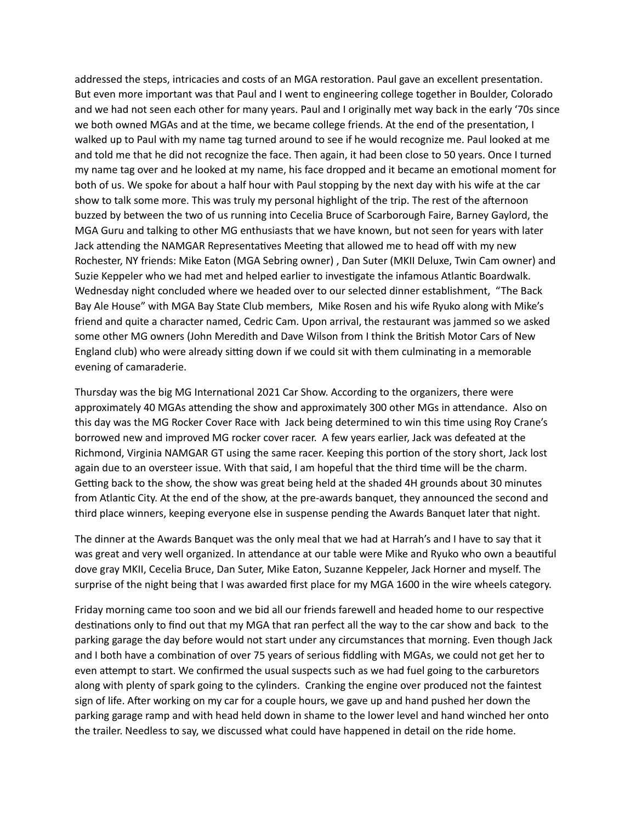addressed the steps, intricacies and costs of an MGA restoration. Paul gave an excellent presentation. But even more important was that Paul and I went to engineering college together in Boulder, Colorado and we had not seen each other for many years. Paul and I originally met way back in the early '70s since we both owned MGAs and at the time, we became college friends. At the end of the presentation, I walked up to Paul with my name tag turned around to see if he would recognize me. Paul looked at me and told me that he did not recognize the face. Then again, it had been close to 50 years. Once I turned my name tag over and he looked at my name, his face dropped and it became an emotional moment for both of us. We spoke for about a half hour with Paul stopping by the next day with his wife at the car show to talk some more. This was truly my personal highlight of the trip. The rest of the afternoon buzzed by between the two of us running into Cecelia Bruce of Scarborough Faire, Barney Gaylord, the MGA Guru and talking to other MG enthusiasts that we have known, but not seen for years with later Jack attending the NAMGAR Representatives Meeting that allowed me to head off with my new Rochester, NY friends: Mike Eaton (MGA Sebring owner) , Dan Suter (MKII Deluxe, Twin Cam owner) and Suzie Keppeler who we had met and helped earlier to investigate the infamous Atlantic Boardwalk. Wednesday night concluded where we headed over to our selected dinner establishment, "The Back Bay Ale House" with MGA Bay State Club members, Mike Rosen and his wife Ryuko along with Mike's friend and quite a character named, Cedric Cam. Upon arrival, the restaurant was jammed so we asked some other MG owners (John Meredith and Dave Wilson from I think the British Motor Cars of New England club) who were already sitting down if we could sit with them culminating in a memorable evening of camaraderie.

Thursday was the big MG International 2021 Car Show. According to the organizers, there were approximately 40 MGAs attending the show and approximately 300 other MGs in attendance. Also on this day was the MG Rocker Cover Race with Jack being determined to win this time using Roy Crane's borrowed new and improved MG rocker cover racer. A few years earlier, Jack was defeated at the Richmond, Virginia NAMGAR GT using the same racer. Keeping this portion of the story short, Jack lost again due to an oversteer issue. With that said, I am hopeful that the third time will be the charm. Getting back to the show, the show was great being held at the shaded 4H grounds about 30 minutes from Atlantic City. At the end of the show, at the pre-awards banquet, they announced the second and third place winners, keeping everyone else in suspense pending the Awards Banquet later that night.

The dinner at the Awards Banquet was the only meal that we had at Harrah's and I have to say that it was great and very well organized. In attendance at our table were Mike and Ryuko who own a beautiful dove gray MKII, Cecelia Bruce, Dan Suter, Mike Eaton, Suzanne Keppeler, Jack Horner and myself. The surprise of the night being that I was awarded first place for my MGA 1600 in the wire wheels category.

Friday morning came too soon and we bid all our friends farewell and headed home to our respective destinations only to find out that my MGA that ran perfect all the way to the car show and back to the parking garage the day before would not start under any circumstances that morning. Even though Jack and I both have a combination of over 75 years of serious fiddling with MGAs, we could not get her to even attempt to start. We confirmed the usual suspects such as we had fuel going to the carburetors along with plenty of spark going to the cylinders. Cranking the engine over produced not the faintest sign of life. After working on my car for a couple hours, we gave up and hand pushed her down the parking garage ramp and with head held down in shame to the lower level and hand winched her onto the trailer. Needless to say, we discussed what could have happened in detail on the ride home.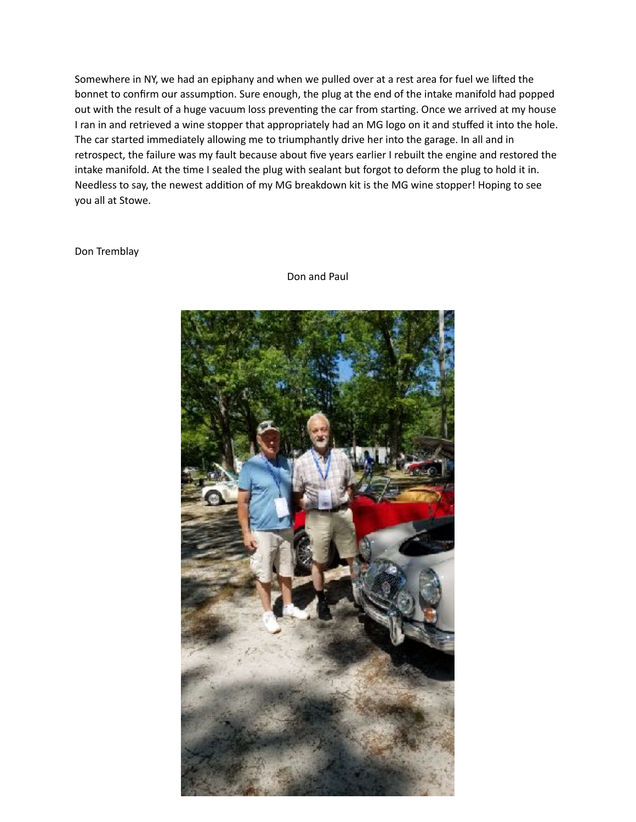Somewhere in NY, we had an epiphany and when we pulled over at a rest area for fuel we lifted the bonnet to confirm our assumption. Sure enough, the plug at the end of the intake manifold had popped out with the result of a huge vacuum loss preventing the car from starting. Once we arrived at my house I ran in and retrieved a wine stopper that appropriately had an MG logo on it and stuffed it into the hole. The car started immediately allowing me to triumphantly drive her into the garage. In all and in retrospect, the failure was my fault because about five years earlier I rebuilt the engine and restored the intake manifold. At the time I sealed the plug with sealant but forgot to deform the plug to hold it in. Needless to say, the newest addition of my MG breakdown kit is the MG wine stopper! Hoping to see you all at Stowe.

## Don Tremblay



Don and Paul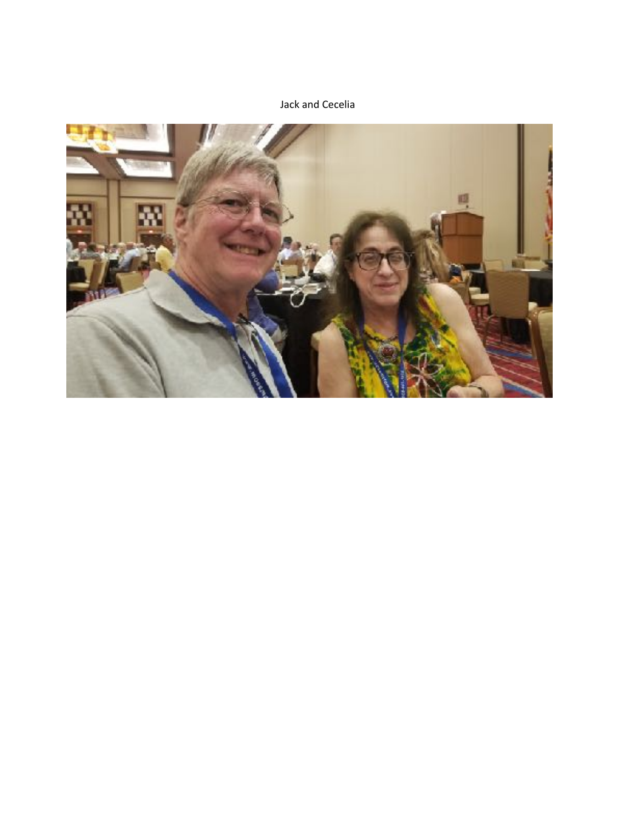Jack and Cecelia